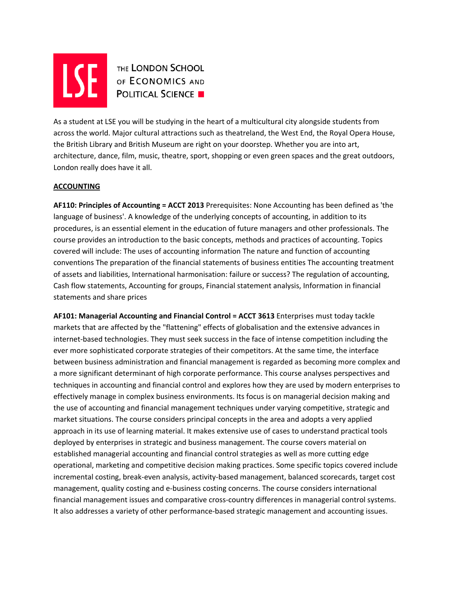

**AND THE LONDON SCHOOL POLITICAL SCIENCE** 

As a student at LSE you will be studying in the heart of a multicultural city alongside students from across the world. Major cultural attractions such as theatreland, the West End, the Royal Opera House, the British Library and British Museum are right on your doorstep. Whether you are into art, architecture, dance, film, music, theatre, sport, shopping or even green spaces and the great outdoors, London really does have it all.

# **ACCOUNTING**

**AF110: Principles of Accounting = ACCT 2013** Prerequisites: None Accounting has been defined as 'the language of business'. A knowledge of the underlying concepts of accounting, in addition to its procedures, is an essential element in the education of future managers and other professionals. The course provides an introduction to the basic concepts, methods and practices of accounting. Topics covered will include: The uses of accounting information The nature and function of accounting conventions The preparation of the financial statements of business entities The accounting treatment of assets and liabilities, International harmonisation: failure or success? The regulation of accounting, Cash flow statements, Accounting for groups, Financial statement analysis, Information in financial statements and share prices

**AF101: Managerial Accounting and Financial Control = ACCT 3613** Enterprises must today tackle markets that are affected by the "flattening" effects of globalisation and the extensive advances in internet-based technologies. They must seek success in the face of intense competition including the ever more sophisticated corporate strategies of their competitors. At the same time, the interface between business administration and financial management is regarded as becoming more complex and a more significant determinant of high corporate performance. This course analyses perspectives and techniques in accounting and financial control and explores how they are used by modern enterprises to effectively manage in complex business environments. Its focus is on managerial decision making and the use of accounting and financial management techniques under varying competitive, strategic and market situations. The course considers principal concepts in the area and adopts a very applied approach in its use of learning material. It makes extensive use of cases to understand practical tools deployed by enterprises in strategic and business management. The course covers material on established managerial accounting and financial control strategies as well as more cutting edge operational, marketing and competitive decision making practices. Some specific topics covered include incremental costing, break‐even analysis, activity‐based management, balanced scorecards, target cost management, quality costing and e‐business costing concerns. The course considers international financial management issues and comparative cross‐country differences in managerial control systems. It also addresses a variety of other performance-based strategic management and accounting issues.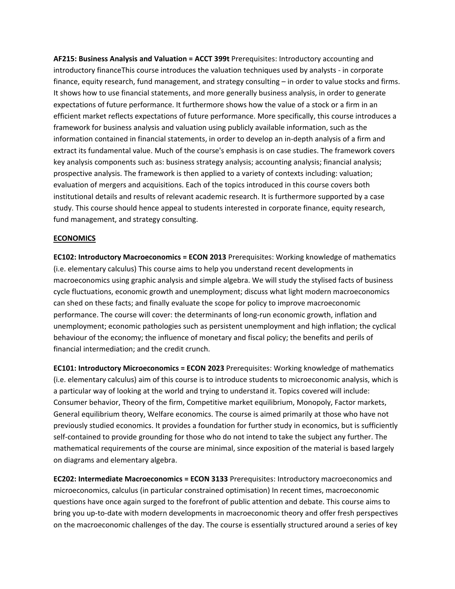**AF215: Business Analysis and Valuation = ACCT 399t** Prerequisites: Introductory accounting and introductory financeThis course introduces the valuation techniques used by analysts ‐ in corporate finance, equity research, fund management, and strategy consulting – in order to value stocks and firms. It shows how to use financial statements, and more generally business analysis, in order to generate expectations of future performance. It furthermore shows how the value of a stock or a firm in an efficient market reflects expectations of future performance. More specifically, this course introduces a framework for business analysis and valuation using publicly available information, such as the information contained in financial statements, in order to develop an in‐depth analysis of a firm and extract its fundamental value. Much of the course's emphasis is on case studies. The framework covers key analysis components such as: business strategy analysis; accounting analysis; financial analysis; prospective analysis. The framework is then applied to a variety of contexts including: valuation; evaluation of mergers and acquisitions. Each of the topics introduced in this course covers both institutional details and results of relevant academic research. It is furthermore supported by a case study. This course should hence appeal to students interested in corporate finance, equity research, fund management, and strategy consulting.

### **ECONOMICS**

**EC102: Introductory Macroeconomics = ECON 2013** Prerequisites: Working knowledge of mathematics (i.e. elementary calculus) This course aims to help you understand recent developments in macroeconomics using graphic analysis and simple algebra. We will study the stylised facts of business cycle fluctuations, economic growth and unemployment; discuss what light modern macroeconomics can shed on these facts; and finally evaluate the scope for policy to improve macroeconomic performance. The course will cover: the determinants of long-run economic growth, inflation and unemployment; economic pathologies such as persistent unemployment and high inflation; the cyclical behaviour of the economy; the influence of monetary and fiscal policy; the benefits and perils of financial intermediation; and the credit crunch.

**EC101: Introductory Microeconomics = ECON 2023** Prerequisites: Working knowledge of mathematics (i.e. elementary calculus) aim of this course is to introduce students to microeconomic analysis, which is a particular way of looking at the world and trying to understand it. Topics covered will include: Consumer behavior, Theory of the firm, Competitive market equilibrium, Monopoly, Factor markets, General equilibrium theory, Welfare economics. The course is aimed primarily at those who have not previously studied economics. It provides a foundation for further study in economics, but is sufficiently self-contained to provide grounding for those who do not intend to take the subject any further. The mathematical requirements of the course are minimal, since exposition of the material is based largely on diagrams and elementary algebra.

**EC202: Intermediate Macroeconomics = ECON 3133** Prerequisites: Introductory macroeconomics and microeconomics, calculus (in particular constrained optimisation) In recent times, macroeconomic questions have once again surged to the forefront of public attention and debate. This course aims to bring you up‐to‐date with modern developments in macroeconomic theory and offer fresh perspectives on the macroeconomic challenges of the day. The course is essentially structured around a series of key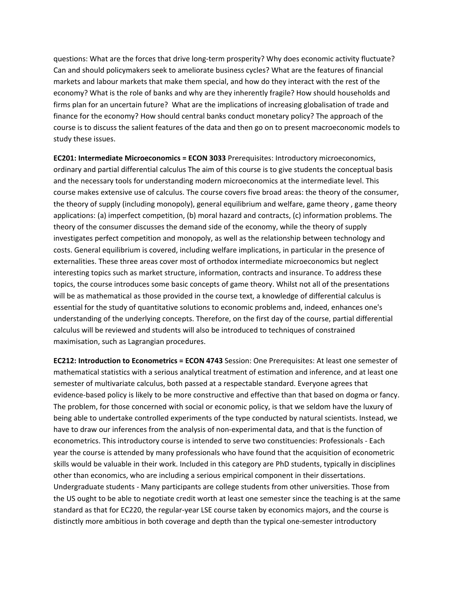questions: What are the forces that drive long-term prosperity? Why does economic activity fluctuate? Can and should policymakers seek to ameliorate business cycles? What are the features of financial markets and labour markets that make them special, and how do they interact with the rest of the economy? What is the role of banks and why are they inherently fragile? How should households and firms plan for an uncertain future? What are the implications of increasing globalisation of trade and finance for the economy? How should central banks conduct monetary policy? The approach of the course is to discuss the salient features of the data and then go on to present macroeconomic models to study these issues.

**EC201: Intermediate Microeconomics = ECON 3033** Prerequisites: Introductory microeconomics, ordinary and partial differential calculus The aim of this course is to give students the conceptual basis and the necessary tools for understanding modern microeconomics at the intermediate level. This course makes extensive use of calculus. The course covers five broad areas: the theory of the consumer, the theory of supply (including monopoly), general equilibrium and welfare, game theory , game theory applications: (a) imperfect competition, (b) moral hazard and contracts, (c) information problems. The theory of the consumer discusses the demand side of the economy, while the theory of supply investigates perfect competition and monopoly, as well as the relationship between technology and costs. General equilibrium is covered, including welfare implications, in particular in the presence of externalities. These three areas cover most of orthodox intermediate microeconomics but neglect interesting topics such as market structure, information, contracts and insurance. To address these topics, the course introduces some basic concepts of game theory. Whilst not all of the presentations will be as mathematical as those provided in the course text, a knowledge of differential calculus is essential for the study of quantitative solutions to economic problems and, indeed, enhances one's understanding of the underlying concepts. Therefore, on the first day of the course, partial differential calculus will be reviewed and students will also be introduced to techniques of constrained maximisation, such as Lagrangian procedures.

**EC212: Introduction to Econometrics = ECON 4743** Session: One Prerequisites: At least one semester of mathematical statistics with a serious analytical treatment of estimation and inference, and at least one semester of multivariate calculus, both passed at a respectable standard. Everyone agrees that evidence‐based policy is likely to be more constructive and effective than that based on dogma or fancy. The problem, for those concerned with social or economic policy, is that we seldom have the luxury of being able to undertake controlled experiments of the type conducted by natural scientists. Instead, we have to draw our inferences from the analysis of non-experimental data, and that is the function of econometrics. This introductory course is intended to serve two constituencies: Professionals ‐ Each year the course is attended by many professionals who have found that the acquisition of econometric skills would be valuable in their work. Included in this category are PhD students, typically in disciplines other than economics, who are including a serious empirical component in their dissertations. Undergraduate students ‐ Many participants are college students from other universities. Those from the US ought to be able to negotiate credit worth at least one semester since the teaching is at the same standard as that for EC220, the regular‐year LSE course taken by economics majors, and the course is distinctly more ambitious in both coverage and depth than the typical one‐semester introductory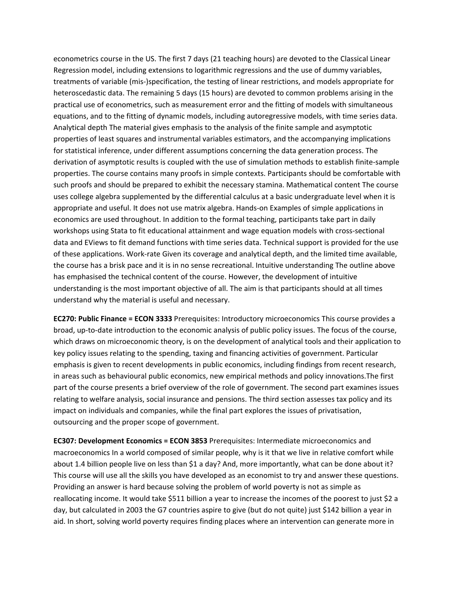econometrics course in the US. The first 7 days (21 teaching hours) are devoted to the Classical Linear Regression model, including extensions to logarithmic regressions and the use of dummy variables, treatments of variable (mis‐)specification, the testing of linear restrictions, and models appropriate for heteroscedastic data. The remaining 5 days (15 hours) are devoted to common problems arising in the practical use of econometrics, such as measurement error and the fitting of models with simultaneous equations, and to the fitting of dynamic models, including autoregressive models, with time series data. Analytical depth The material gives emphasis to the analysis of the finite sample and asymptotic properties of least squares and instrumental variables estimators, and the accompanying implications for statistical inference, under different assumptions concerning the data generation process. The derivation of asymptotic results is coupled with the use of simulation methods to establish finite‐sample properties. The course contains many proofs in simple contexts. Participants should be comfortable with such proofs and should be prepared to exhibit the necessary stamina. Mathematical content The course uses college algebra supplemented by the differential calculus at a basic undergraduate level when it is appropriate and useful. It does not use matrix algebra. Hands‐on Examples of simple applications in economics are used throughout. In addition to the formal teaching, participants take part in daily workshops using Stata to fit educational attainment and wage equation models with cross‐sectional data and EViews to fit demand functions with time series data. Technical support is provided for the use of these applications. Work‐rate Given its coverage and analytical depth, and the limited time available, the course has a brisk pace and it is in no sense recreational. Intuitive understanding The outline above has emphasised the technical content of the course. However, the development of intuitive understanding is the most important objective of all. The aim is that participants should at all times understand why the material is useful and necessary.

**EC270: Public Finance = ECON 3333** Prerequisites: Introductory microeconomics This course provides a broad, up-to-date introduction to the economic analysis of public policy issues. The focus of the course, which draws on microeconomic theory, is on the development of analytical tools and their application to key policy issues relating to the spending, taxing and financing activities of government. Particular emphasis is given to recent developments in public economics, including findings from recent research, in areas such as behavioural public economics, new empirical methods and policy innovations.The first part of the course presents a brief overview of the role of government. The second part examines issues relating to welfare analysis, social insurance and pensions. The third section assesses tax policy and its impact on individuals and companies, while the final part explores the issues of privatisation, outsourcing and the proper scope of government.

**EC307: Development Economics = ECON 3853** Prerequisites: Intermediate microeconomics and macroeconomics In a world composed of similar people, why is it that we live in relative comfort while about 1.4 billion people live on less than \$1 a day? And, more importantly, what can be done about it? This course will use all the skills you have developed as an economist to try and answer these questions. Providing an answer is hard because solving the problem of world poverty is not as simple as reallocating income. It would take \$511 billion a year to increase the incomes of the poorest to just \$2 a day, but calculated in 2003 the G7 countries aspire to give (but do not quite) just \$142 billion a year in aid. In short, solving world poverty requires finding places where an intervention can generate more in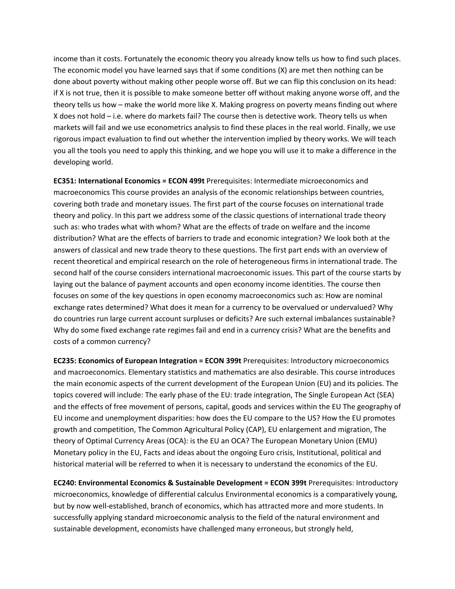income than it costs. Fortunately the economic theory you already know tells us how to find such places. The economic model you have learned says that if some conditions (X) are met then nothing can be done about poverty without making other people worse off. But we can flip this conclusion on its head: if X is not true, then it is possible to make someone better off without making anyone worse off, and the theory tells us how – make the world more like X. Making progress on poverty means finding out where X does not hold – i.e. where do markets fail? The course then is detective work. Theory tells us when markets will fail and we use econometrics analysis to find these places in the real world. Finally, we use rigorous impact evaluation to find out whether the intervention implied by theory works. We will teach you all the tools you need to apply this thinking, and we hope you will use it to make a difference in the developing world.

**EC351: International Economics = ECON 499t** Prerequisites: Intermediate microeconomics and macroeconomics This course provides an analysis of the economic relationships between countries, covering both trade and monetary issues. The first part of the course focuses on international trade theory and policy. In this part we address some of the classic questions of international trade theory such as: who trades what with whom? What are the effects of trade on welfare and the income distribution? What are the effects of barriers to trade and economic integration? We look both at the answers of classical and new trade theory to these questions. The first part ends with an overview of recent theoretical and empirical research on the role of heterogeneous firms in international trade. The second half of the course considers international macroeconomic issues. This part of the course starts by laying out the balance of payment accounts and open economy income identities. The course then focuses on some of the key questions in open economy macroeconomics such as: How are nominal exchange rates determined? What does it mean for a currency to be overvalued or undervalued? Why do countries run large current account surpluses or deficits? Are such external imbalances sustainable? Why do some fixed exchange rate regimes fail and end in a currency crisis? What are the benefits and costs of a common currency?

**EC235: Economics of European Integration = ECON 399t** Prerequisites: Introductory microeconomics and macroeconomics. Elementary statistics and mathematics are also desirable. This course introduces the main economic aspects of the current development of the European Union (EU) and its policies. The topics covered will include: The early phase of the EU: trade integration, The Single European Act (SEA) and the effects of free movement of persons, capital, goods and services within the EU The geography of EU income and unemployment disparities: how does the EU compare to the US? How the EU promotes growth and competition, The Common Agricultural Policy (CAP), EU enlargement and migration, The theory of Optimal Currency Areas (OCA): is the EU an OCA? The European Monetary Union (EMU) Monetary policy in the EU, Facts and ideas about the ongoing Euro crisis, Institutional, political and historical material will be referred to when it is necessary to understand the economics of the EU.

**EC240: Environmental Economics & Sustainable Development = ECON 399t** Prerequisites: Introductory microeconomics, knowledge of differential calculus Environmental economics is a comparatively young, but by now well-established, branch of economics, which has attracted more and more students. In successfully applying standard microeconomic analysis to the field of the natural environment and sustainable development, economists have challenged many erroneous, but strongly held,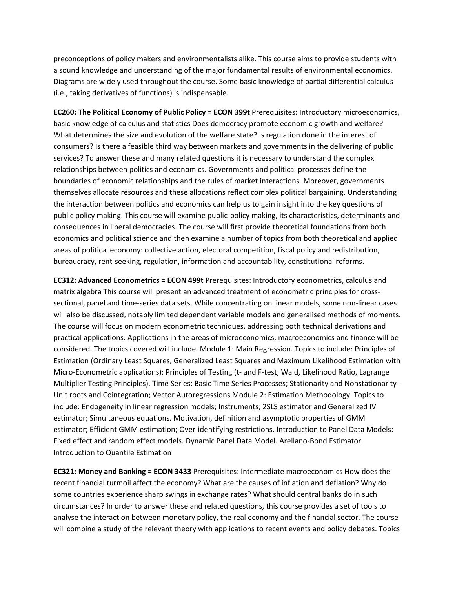preconceptions of policy makers and environmentalists alike. This course aims to provide students with a sound knowledge and understanding of the major fundamental results of environmental economics. Diagrams are widely used throughout the course. Some basic knowledge of partial differential calculus (i.e., taking derivatives of functions) is indispensable.

**EC260: The Political Economy of Public Policy = ECON 399t** Prerequisites: Introductory microeconomics, basic knowledge of calculus and statistics Does democracy promote economic growth and welfare? What determines the size and evolution of the welfare state? Is regulation done in the interest of consumers? Is there a feasible third way between markets and governments in the delivering of public services? To answer these and many related questions it is necessary to understand the complex relationships between politics and economics. Governments and political processes define the boundaries of economic relationships and the rules of market interactions. Moreover, governments themselves allocate resources and these allocations reflect complex political bargaining. Understanding the interaction between politics and economics can help us to gain insight into the key questions of public policy making. This course will examine public‐policy making, its characteristics, determinants and consequences in liberal democracies. The course will first provide theoretical foundations from both economics and political science and then examine a number of topics from both theoretical and applied areas of political economy: collective action, electoral competition, fiscal policy and redistribution, bureaucracy, rent‐seeking, regulation, information and accountability, constitutional reforms.

**EC312: Advanced Econometrics = ECON 499t** Prerequisites: Introductory econometrics, calculus and matrix algebra This course will present an advanced treatment of econometric principles for crosssectional, panel and time-series data sets. While concentrating on linear models, some non-linear cases will also be discussed, notably limited dependent variable models and generalised methods of moments. The course will focus on modern econometric techniques, addressing both technical derivations and practical applications. Applications in the areas of microeconomics, macroeconomics and finance will be considered. The topics covered will include. Module 1: Main Regression. Topics to include: Principles of Estimation (Ordinary Least Squares, Generalized Least Squares and Maximum Likelihood Estimation with Micro‐Econometric applications); Principles of Testing (t‐ and F‐test; Wald, Likelihood Ratio, Lagrange Multiplier Testing Principles). Time Series: Basic Time Series Processes; Stationarity and Nonstationarity -Unit roots and Cointegration; Vector Autoregressions Module 2: Estimation Methodology. Topics to include: Endogeneity in linear regression models; Instruments; 2SLS estimator and Generalized IV estimator; Simultaneous equations. Motivation, definition and asymptotic properties of GMM estimator; Efficient GMM estimation; Over‐identifying restrictions. Introduction to Panel Data Models: Fixed effect and random effect models. Dynamic Panel Data Model. Arellano‐Bond Estimator. Introduction to Quantile Estimation

**EC321: Money and Banking = ECON 3433** Prerequisites: Intermediate macroeconomics How does the recent financial turmoil affect the economy? What are the causes of inflation and deflation? Why do some countries experience sharp swings in exchange rates? What should central banks do in such circumstances? In order to answer these and related questions, this course provides a set of tools to analyse the interaction between monetary policy, the real economy and the financial sector. The course will combine a study of the relevant theory with applications to recent events and policy debates. Topics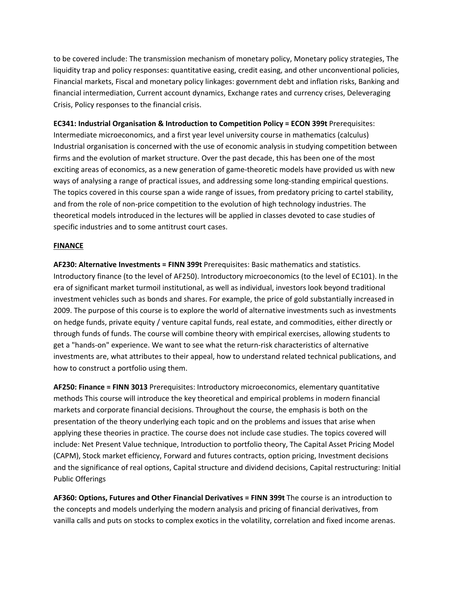to be covered include: The transmission mechanism of monetary policy, Monetary policy strategies, The liquidity trap and policy responses: quantitative easing, credit easing, and other unconventional policies, Financial markets, Fiscal and monetary policy linkages: government debt and inflation risks, Banking and financial intermediation, Current account dynamics, Exchange rates and currency crises, Deleveraging Crisis, Policy responses to the financial crisis.

**EC341: Industrial Organisation & Introduction to Competition Policy = ECON 399t** Prerequisites: Intermediate microeconomics, and a first year level university course in mathematics (calculus) Industrial organisation is concerned with the use of economic analysis in studying competition between firms and the evolution of market structure. Over the past decade, this has been one of the most exciting areas of economics, as a new generation of game-theoretic models have provided us with new ways of analysing a range of practical issues, and addressing some long-standing empirical questions. The topics covered in this course span a wide range of issues, from predatory pricing to cartel stability, and from the role of non-price competition to the evolution of high technology industries. The theoretical models introduced in the lectures will be applied in classes devoted to case studies of specific industries and to some antitrust court cases.

## **FINANCE**

**AF230: Alternative Investments = FINN 399t** Prerequisites: Basic mathematics and statistics. Introductory finance (to the level of AF250). Introductory microeconomics (to the level of EC101). In the era of significant market turmoil institutional, as well as individual, investors look beyond traditional investment vehicles such as bonds and shares. For example, the price of gold substantially increased in 2009. The purpose of this course is to explore the world of alternative investments such as investments on hedge funds, private equity / venture capital funds, real estate, and commodities, either directly or through funds of funds. The course will combine theory with empirical exercises, allowing students to get a "hands‐on" experience. We want to see what the return‐risk characteristics of alternative investments are, what attributes to their appeal, how to understand related technical publications, and how to construct a portfolio using them.

**AF250: Finance = FINN 3013** Prerequisites: Introductory microeconomics, elementary quantitative methods This course will introduce the key theoretical and empirical problems in modern financial markets and corporate financial decisions. Throughout the course, the emphasis is both on the presentation of the theory underlying each topic and on the problems and issues that arise when applying these theories in practice. The course does not include case studies. The topics covered will include: Net Present Value technique, Introduction to portfolio theory, The Capital Asset Pricing Model (CAPM), Stock market efficiency, Forward and futures contracts, option pricing, Investment decisions and the significance of real options, Capital structure and dividend decisions, Capital restructuring: Initial Public Offerings

**AF360: Options, Futures and Other Financial Derivatives = FINN 399t** The course is an introduction to the concepts and models underlying the modern analysis and pricing of financial derivatives, from vanilla calls and puts on stocks to complex exotics in the volatility, correlation and fixed income arenas.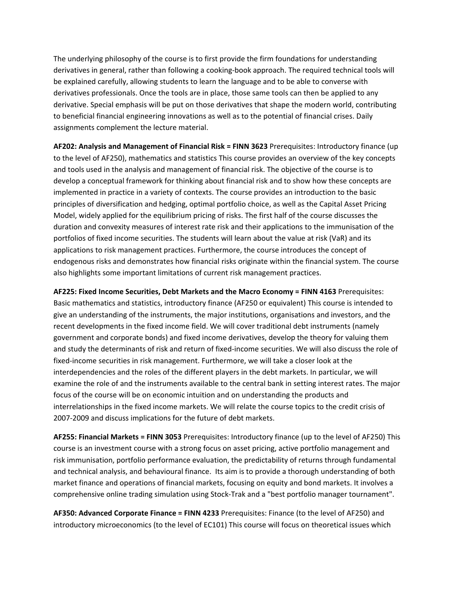The underlying philosophy of the course is to first provide the firm foundations for understanding derivatives in general, rather than following a cooking‐book approach. The required technical tools will be explained carefully, allowing students to learn the language and to be able to converse with derivatives professionals. Once the tools are in place, those same tools can then be applied to any derivative. Special emphasis will be put on those derivatives that shape the modern world, contributing to beneficial financial engineering innovations as well as to the potential of financial crises. Daily assignments complement the lecture material.

**AF202: Analysis and Management of Financial Risk = FINN 3623** Prerequisites: Introductory finance (up to the level of AF250), mathematics and statistics This course provides an overview of the key concepts and tools used in the analysis and management of financial risk. The objective of the course is to develop a conceptual framework for thinking about financial risk and to show how these concepts are implemented in practice in a variety of contexts. The course provides an introduction to the basic principles of diversification and hedging, optimal portfolio choice, as well as the Capital Asset Pricing Model, widely applied for the equilibrium pricing of risks. The first half of the course discusses the duration and convexity measures of interest rate risk and their applications to the immunisation of the portfolios of fixed income securities. The students will learn about the value at risk (VaR) and its applications to risk management practices. Furthermore, the course introduces the concept of endogenous risks and demonstrates how financial risks originate within the financial system. The course also highlights some important limitations of current risk management practices.

**AF225: Fixed Income Securities, Debt Markets and the Macro Economy = FINN 4163** Prerequisites: Basic mathematics and statistics, introductory finance (AF250 or equivalent) This course is intended to give an understanding of the instruments, the major institutions, organisations and investors, and the recent developments in the fixed income field. We will cover traditional debt instruments (namely government and corporate bonds) and fixed income derivatives, develop the theory for valuing them and study the determinants of risk and return of fixed‐income securities. We will also discuss the role of fixed-income securities in risk management. Furthermore, we will take a closer look at the interdependencies and the roles of the different players in the debt markets. In particular, we will examine the role of and the instruments available to the central bank in setting interest rates. The major focus of the course will be on economic intuition and on understanding the products and interrelationships in the fixed income markets. We will relate the course topics to the credit crisis of 2007‐2009 and discuss implications for the future of debt markets.

**AF255: Financial Markets = FINN 3053** Prerequisites: Introductory finance (up to the level of AF250) This course is an investment course with a strong focus on asset pricing, active portfolio management and risk immunisation, portfolio performance evaluation, the predictability of returns through fundamental and technical analysis, and behavioural finance. Its aim is to provide a thorough understanding of both market finance and operations of financial markets, focusing on equity and bond markets. It involves a comprehensive online trading simulation using Stock‐Trak and a "best portfolio manager tournament".

**AF350: Advanced Corporate Finance = FINN 4233** Prerequisites: Finance (to the level of AF250) and introductory microeconomics (to the level of EC101) This course will focus on theoretical issues which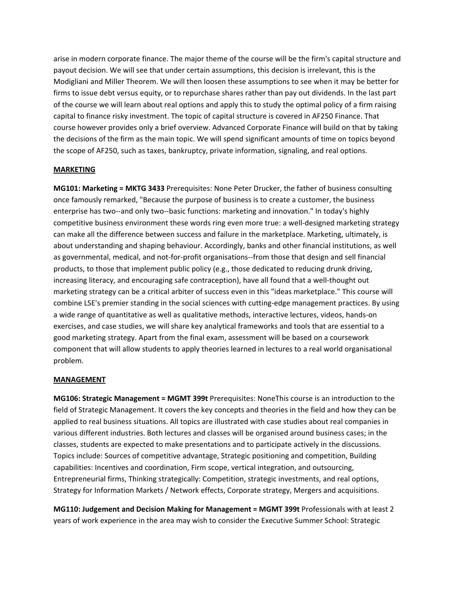arise in modern corporate finance. The major theme of the course will be the firm's capital structure and payout decision. We will see that under certain assumptions, this decision is irrelevant, this is the Modigliani and Miller Theorem. We will then loosen these assumptions to see when it may be better for firms to issue debt versus equity, or to repurchase shares rather than pay out dividends. In the last part of the course we will learn about real options and apply this to study the optimal policy of a firm raising capital to finance risky investment. The topic of capital structure is covered in AF250 Finance. That course however provides only a brief overview. Advanced Corporate Finance will build on that by taking the decisions of the firm as the main topic. We will spend significant amounts of time on topics beyond the scope of AF250, such as taxes, bankruptcy, private information, signaling, and real options.

## **MARKETING**

**MG101: Marketing = MKTG 3433** Prerequisites: None Peter Drucker, the father of business consulting once famously remarked, "Because the purpose of business is to create a customer, the business enterprise has two--and only two--basic functions: marketing and innovation." In today's highly competitive business environment these words ring even more true: a well-designed marketing strategy can make all the difference between success and failure in the marketplace. Marketing, ultimately, is about understanding and shaping behaviour. Accordingly, banks and other financial institutions, as well as governmental, medical, and not-for-profit organisations--from those that design and sell financial products, to those that implement public policy (e.g., those dedicated to reducing drunk driving, increasing literacy, and encouraging safe contraception), have all found that a well-thought out marketing strategy can be a critical arbiter of success even in this "ideas marketplace." This course will combine LSE's premier standing in the social sciences with cutting-edge management practices. By using a wide range of quantitative as well as qualitative methods, interactive lectures, videos, hands‐on exercises, and case studies, we will share key analytical frameworks and tools that are essential to a good marketing strategy. Apart from the final exam, assessment will be based on a coursework component that will allow students to apply theories learned in lectures to a real world organisational problem.

### **MANAGEMENT**

**MG106: Strategic Management = MGMT 399t** Prerequisites: NoneThis course is an introduction to the field of Strategic Management. It covers the key concepts and theories in the field and how they can be applied to real business situations. All topics are illustrated with case studies about real companies in various different industries. Both lectures and classes will be organised around business cases; in the classes, students are expected to make presentations and to participate actively in the discussions. Topics include: Sources of competitive advantage, Strategic positioning and competition, Building capabilities: Incentives and coordination, Firm scope, vertical integration, and outsourcing, Entrepreneurial firms, Thinking strategically: Competition, strategic investments, and real options, Strategy for Information Markets / Network effects, Corporate strategy, Mergers and acquisitions.

**MG110: Judgement and Decision Making for Management = MGMT 399t** Professionals with at least 2 years of work experience in the area may wish to consider the Executive Summer School: Strategic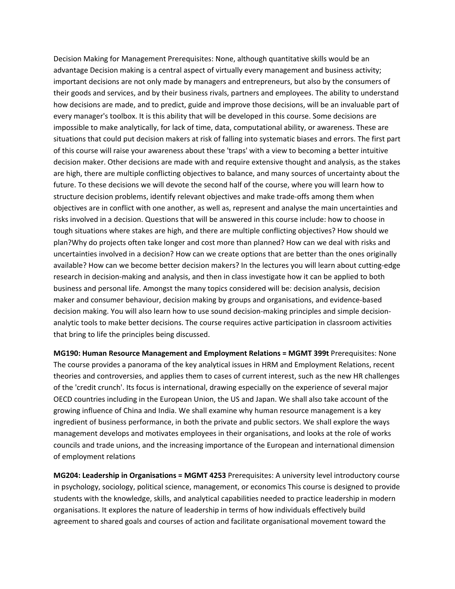Decision Making for Management Prerequisites: None, although quantitative skills would be an advantage Decision making is a central aspect of virtually every management and business activity; important decisions are not only made by managers and entrepreneurs, but also by the consumers of their goods and services, and by their business rivals, partners and employees. The ability to understand how decisions are made, and to predict, guide and improve those decisions, will be an invaluable part of every manager's toolbox. It is this ability that will be developed in this course. Some decisions are impossible to make analytically, for lack of time, data, computational ability, or awareness. These are situations that could put decision makers at risk of falling into systematic biases and errors. The first part of this course will raise your awareness about these 'traps' with a view to becoming a better intuitive decision maker. Other decisions are made with and require extensive thought and analysis, as the stakes are high, there are multiple conflicting objectives to balance, and many sources of uncertainty about the future. To these decisions we will devote the second half of the course, where you will learn how to structure decision problems, identify relevant objectives and make trade‐offs among them when objectives are in conflict with one another, as well as, represent and analyse the main uncertainties and risks involved in a decision. Questions that will be answered in this course include: how to choose in tough situations where stakes are high, and there are multiple conflicting objectives? How should we plan?Why do projects often take longer and cost more than planned? How can we deal with risks and uncertainties involved in a decision? How can we create options that are better than the ones originally available? How can we become better decision makers? In the lectures you will learn about cutting‐edge research in decision‐making and analysis, and then in class investigate how it can be applied to both business and personal life. Amongst the many topics considered will be: decision analysis, decision maker and consumer behaviour, decision making by groups and organisations, and evidence‐based decision making. You will also learn how to use sound decision-making principles and simple decisionanalytic tools to make better decisions. The course requires active participation in classroom activities that bring to life the principles being discussed.

**MG190: Human Resource Management and Employment Relations = MGMT 399t** Prerequisites: None The course provides a panorama of the key analytical issues in HRM and Employment Relations, recent theories and controversies, and applies them to cases of current interest, such as the new HR challenges of the 'credit crunch'. Its focus is international, drawing especially on the experience of several major OECD countries including in the European Union, the US and Japan. We shall also take account of the growing influence of China and India. We shall examine why human resource management is a key ingredient of business performance, in both the private and public sectors. We shall explore the ways management develops and motivates employees in their organisations, and looks at the role of works councils and trade unions, and the increasing importance of the European and international dimension of employment relations

**MG204: Leadership in Organisations = MGMT 4253** Prerequisites: A university level introductory course in psychology, sociology, political science, management, or economics This course is designed to provide students with the knowledge, skills, and analytical capabilities needed to practice leadership in modern organisations. It explores the nature of leadership in terms of how individuals effectively build agreement to shared goals and courses of action and facilitate organisational movement toward the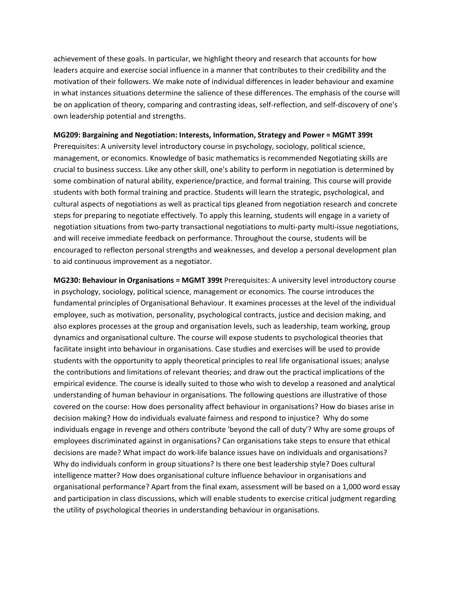achievement of these goals. In particular, we highlight theory and research that accounts for how leaders acquire and exercise social influence in a manner that contributes to their credibility and the motivation of their followers. We make note of individual differences in leader behaviour and examine in what instances situations determine the salience of these differences. The emphasis of the course will be on application of theory, comparing and contrasting ideas, self-reflection, and self-discovery of one's own leadership potential and strengths.

#### **MG209: Bargaining and Negotiation: Interests, Information, Strategy and Power = MGMT 399t**

Prerequisites: A university level introductory course in psychology, sociology, political science, management, or economics. Knowledge of basic mathematics is recommended Negotiating skills are crucial to business success. Like any other skill, one's ability to perform in negotiation is determined by some combination of natural ability, experience/practice, and formal training. This course will provide students with both formal training and practice. Students will learn the strategic, psychological, and cultural aspects of negotiations as well as practical tips gleaned from negotiation research and concrete steps for preparing to negotiate effectively. To apply this learning, students will engage in a variety of negotiation situations from two‐party transactional negotiations to multi‐party multi‐issue negotiations, and will receive immediate feedback on performance. Throughout the course, students will be encouraged to reflecton personal strengths and weaknesses, and develop a personal development plan to aid continuous improvement as a negotiator.

**MG230: Behaviour in Organisations = MGMT 399t** Prerequisites: A university level introductory course in psychology, sociology, political science, management or economics. The course introduces the fundamental principles of Organisational Behaviour. It examines processes at the level of the individual employee, such as motivation, personality, psychological contracts, justice and decision making, and also explores processes at the group and organisation levels, such as leadership, team working, group dynamics and organisational culture. The course will expose students to psychological theories that facilitate insight into behaviour in organisations. Case studies and exercises will be used to provide students with the opportunity to apply theoretical principles to real life organisational issues; analyse the contributions and limitations of relevant theories; and draw out the practical implications of the empirical evidence. The course is ideally suited to those who wish to develop a reasoned and analytical understanding of human behaviour in organisations. The following questions are illustrative of those covered on the course: How does personality affect behaviour in organisations? How do biases arise in decision making? How do individuals evaluate fairness and respond to injustice? Why do some individuals engage in revenge and others contribute 'beyond the call of duty'? Why are some groups of employees discriminated against in organisations? Can organisations take steps to ensure that ethical decisions are made? What impact do work‐life balance issues have on individuals and organisations? Why do individuals conform in group situations? Is there one best leadership style? Does cultural intelligence matter? How does organisational culture influence behaviour in organisations and organisational performance? Apart from the final exam, assessment will be based on a 1,000 word essay and participation in class discussions, which will enable students to exercise critical judgment regarding the utility of psychological theories in understanding behaviour in organisations.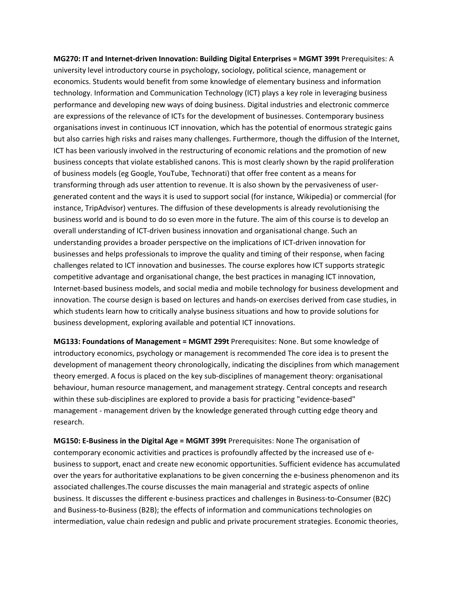**MG270: IT and Internet‐driven Innovation: Building Digital Enterprises = MGMT 399t** Prerequisites: A university level introductory course in psychology, sociology, political science, management or economics. Students would benefit from some knowledge of elementary business and information technology. Information and Communication Technology (ICT) plays a key role in leveraging business performance and developing new ways of doing business. Digital industries and electronic commerce are expressions of the relevance of ICTs for the development of businesses. Contemporary business organisations invest in continuous ICT innovation, which has the potential of enormous strategic gains but also carries high risks and raises many challenges. Furthermore, though the diffusion of the Internet, ICT has been variously involved in the restructuring of economic relations and the promotion of new business concepts that violate established canons. This is most clearly shown by the rapid proliferation of business models (eg Google, YouTube, Technorati) that offer free content as a means for transforming through ads user attention to revenue. It is also shown by the pervasiveness of user‐ generated content and the ways it is used to support social (for instance, Wikipedia) or commercial (for instance, TripAdvisor) ventures. The diffusion of these developments is already revolutionising the business world and is bound to do so even more in the future. The aim of this course is to develop an overall understanding of ICT‐driven business innovation and organisational change. Such an understanding provides a broader perspective on the implications of ICT‐driven innovation for businesses and helps professionals to improve the quality and timing of their response, when facing challenges related to ICT innovation and businesses. The course explores how ICT supports strategic competitive advantage and organisational change, the best practices in managing ICT innovation, Internet‐based business models, and social media and mobile technology for business development and innovation. The course design is based on lectures and hands‐on exercises derived from case studies, in which students learn how to critically analyse business situations and how to provide solutions for business development, exploring available and potential ICT innovations.

**MG133: Foundations of Management = MGMT 299t** Prerequisites: None. But some knowledge of introductory economics, psychology or management is recommended The core idea is to present the development of management theory chronologically, indicating the disciplines from which management theory emerged. A focus is placed on the key sub‐disciplines of management theory: organisational behaviour, human resource management, and management strategy. Central concepts and research within these sub-disciplines are explored to provide a basis for practicing "evidence-based" management - management driven by the knowledge generated through cutting edge theory and research.

**MG150: E‐Business in the Digital Age = MGMT 399t** Prerequisites: None The organisation of contemporary economic activities and practices is profoundly affected by the increased use of e‐ business to support, enact and create new economic opportunities. Sufficient evidence has accumulated over the years for authoritative explanations to be given concerning the e‐business phenomenon and its associated challenges.The course discusses the main managerial and strategic aspects of online business. It discusses the different e‐business practices and challenges in Business‐to‐Consumer (B2C) and Business-to-Business (B2B); the effects of information and communications technologies on intermediation, value chain redesign and public and private procurement strategies. Economic theories,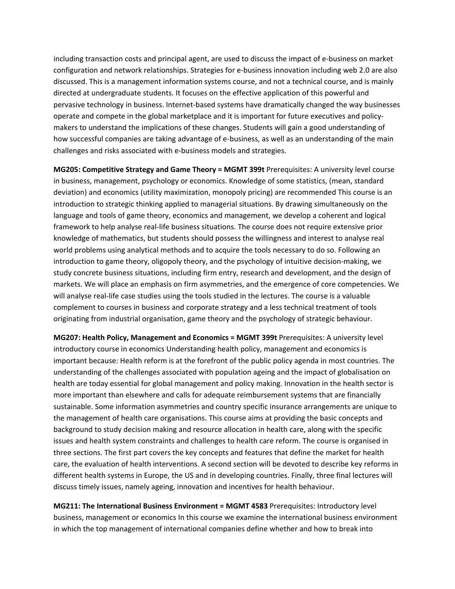including transaction costs and principal agent, are used to discuss the impact of e‐business on market configuration and network relationships. Strategies for e‐business innovation including web 2.0 are also discussed. This is a management information systems course, and not a technical course, and is mainly directed at undergraduate students. It focuses on the effective application of this powerful and pervasive technology in business. Internet-based systems have dramatically changed the way businesses operate and compete in the global marketplace and it is important for future executives and policy‐ makers to understand the implications of these changes. Students will gain a good understanding of how successful companies are taking advantage of e-business, as well as an understanding of the main challenges and risks associated with e‐business models and strategies.

**MG205: Competitive Strategy and Game Theory = MGMT 399t** Prerequisites: A university level course in business, management, psychology or economics. Knowledge of some statistics, (mean, standard deviation) and economics (utility maximization, monopoly pricing) are recommended This course is an introduction to strategic thinking applied to managerial situations. By drawing simultaneously on the language and tools of game theory, economics and management, we develop a coherent and logical framework to help analyse real‐life business situations. The course does not require extensive prior knowledge of mathematics, but students should possess the willingness and interest to analyse real world problems using analytical methods and to acquire the tools necessary to do so. Following an introduction to game theory, oligopoly theory, and the psychology of intuitive decision‐making, we study concrete business situations, including firm entry, research and development, and the design of markets. We will place an emphasis on firm asymmetries, and the emergence of core competencies. We will analyse real‐life case studies using the tools studied in the lectures. The course is a valuable complement to courses in business and corporate strategy and a less technical treatment of tools originating from industrial organisation, game theory and the psychology of strategic behaviour.

**MG207: Health Policy, Management and Economics = MGMT 399t** Prerequisites: A university level introductory course in economics Understanding health policy, management and economics is important because: Health reform is at the forefront of the public policy agenda in most countries. The understanding of the challenges associated with population ageing and the impact of globalisation on health are today essential for global management and policy making. Innovation in the health sector is more important than elsewhere and calls for adequate reimbursement systems that are financially sustainable. Some information asymmetries and country specific insurance arrangements are unique to the management of health care organisations. This course aims at providing the basic concepts and background to study decision making and resource allocation in health care, along with the specific issues and health system constraints and challenges to health care reform. The course is organised in three sections. The first part covers the key concepts and features that define the market for health care, the evaluation of health interventions. A second section will be devoted to describe key reforms in different health systems in Europe, the US and in developing countries. Finally, three final lectures will discuss timely issues, namely ageing, innovation and incentives for health behaviour.

**MG211: The International Business Environment = MGMT 4583** Prerequisites: Introductory level business, management or economics In this course we examine the international business environment in which the top management of international companies define whether and how to break into